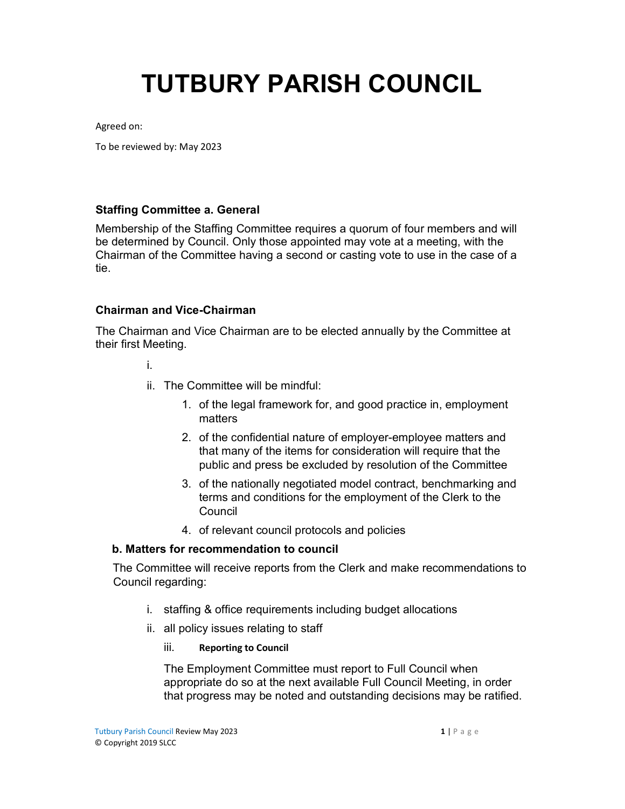# TUTBURY PARISH COUNCIL

Agreed on:

To be reviewed by: May 2023

## Staffing Committee a. General

Membership of the Staffing Committee requires a quorum of four members and will be determined by Council. Only those appointed may vote at a meeting, with the Chairman of the Committee having a second or casting vote to use in the case of a tie.

### Chairman and Vice-Chairman

The Chairman and Vice Chairman are to be elected annually by the Committee at their first Meeting.

i.

- ii. The Committee will be mindful:
	- 1. of the legal framework for, and good practice in, employment matters
	- 2. of the confidential nature of employer-employee matters and that many of the items for consideration will require that the public and press be excluded by resolution of the Committee
	- 3. of the nationally negotiated model contract, benchmarking and terms and conditions for the employment of the Clerk to the Council
	- 4. of relevant council protocols and policies

### b. Matters for recommendation to council

The Committee will receive reports from the Clerk and make recommendations to Council regarding:

- i. staffing & office requirements including budget allocations
- ii. all policy issues relating to staff
	- iii. Reporting to Council

The Employment Committee must report to Full Council when appropriate do so at the next available Full Council Meeting, in order that progress may be noted and outstanding decisions may be ratified.